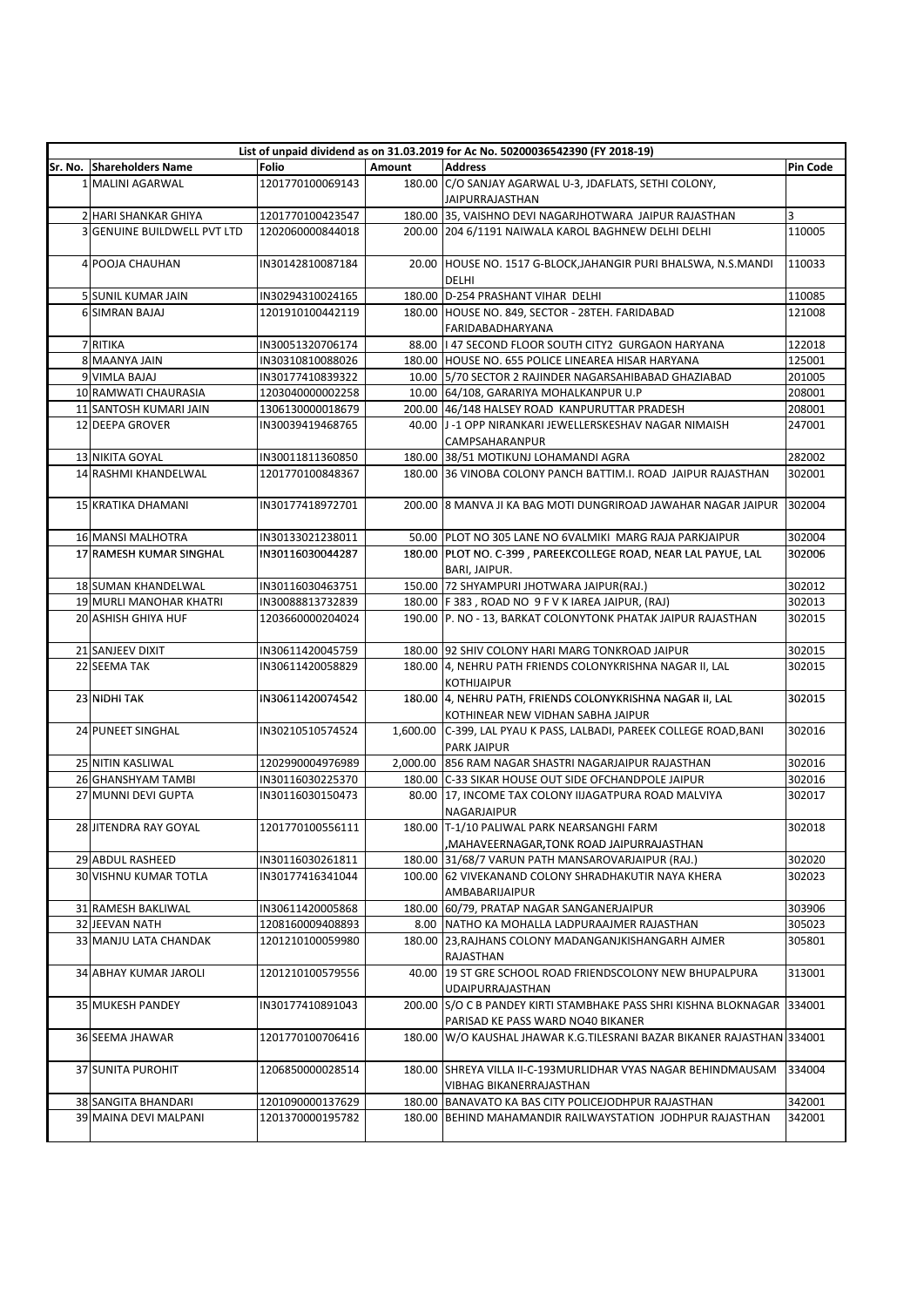| List of unpaid dividend as on 31.03.2019 for Ac No. 50200036542390 (FY 2018-19) |                                    |                  |        |                                                                         |                 |  |
|---------------------------------------------------------------------------------|------------------------------------|------------------|--------|-------------------------------------------------------------------------|-----------------|--|
|                                                                                 | Sr. No. Shareholders Name          | <b>Folio</b>     | Amount | <b>Address</b>                                                          | <b>Pin Code</b> |  |
|                                                                                 | 1 MALINI AGARWAL                   | 1201770100069143 |        | 180.00 C/O SANJAY AGARWAL U-3, JDAFLATS, SETHI COLONY,                  |                 |  |
|                                                                                 |                                    |                  |        | <b>JAIPURRAJASTHAN</b>                                                  |                 |  |
|                                                                                 | 2 HARI SHANKAR GHIYA               | 1201770100423547 |        | 180.00 35, VAISHNO DEVI NAGARJHOTWARA JAIPUR RAJASTHAN                  | 3               |  |
|                                                                                 | <b>3 GENUINE BUILDWELL PVT LTD</b> | 1202060000844018 |        | 200.00 204 6/1191 NAIWALA KAROL BAGHNEW DELHI DELHI                     | 110005          |  |
|                                                                                 |                                    |                  |        |                                                                         |                 |  |
|                                                                                 | 4 POOJA CHAUHAN                    | IN30142810087184 |        | 20.00 HOUSE NO. 1517 G-BLOCK, JAHANGIR PURI BHALSWA, N.S.MANDI          | 110033          |  |
|                                                                                 |                                    |                  |        | <b>DELHI</b>                                                            |                 |  |
|                                                                                 | 5 SUNIL KUMAR JAIN                 | IN30294310024165 |        | 180.00 D-254 PRASHANT VIHAR DELHI                                       | 110085          |  |
|                                                                                 | <b>6 SIMRAN BAJAJ</b>              | 1201910100442119 |        | 180.00 HOUSE NO. 849, SECTOR - 28TEH. FARIDABAD                         | 121008          |  |
|                                                                                 |                                    |                  |        | FARIDABADHARYANA                                                        |                 |  |
|                                                                                 | 7 RITIKA                           | IN30051320706174 |        | 88.00   47 SECOND FLOOR SOUTH CITY2 GURGAON HARYANA                     | 122018          |  |
|                                                                                 | 8 MAANYA JAIN                      | IN30310810088026 |        | 180.00 HOUSE NO. 655 POLICE LINEAREA HISAR HARYANA                      | 125001          |  |
|                                                                                 | 9 VIMLA BAJAJ                      | IN30177410839322 |        | 10.00   5/70 SECTOR 2 RAJINDER NAGARSAHIBABAD GHAZIABAD                 | 201005          |  |
|                                                                                 | 10 RAMWATI CHAURASIA               | 1203040000002258 |        | 10.00 64/108, GARARIYA MOHALKANPUR U.P                                  | 208001          |  |
|                                                                                 | 11 SANTOSH KUMARI JAIN             | 1306130000018679 |        | 200.00 46/148 HALSEY ROAD KANPURUTTAR PRADESH                           | 208001          |  |
|                                                                                 | 12 DEEPA GROVER                    | IN30039419468765 |        | 40.00 J -1 OPP NIRANKARI JEWELLERSKESHAV NAGAR NIMAISH                  | 247001          |  |
|                                                                                 |                                    |                  |        | <b>CAMPSAHARANPUR</b>                                                   |                 |  |
|                                                                                 | 13 NIKITA GOYAL                    | IN30011811360850 |        | 180.00 38/51 MOTIKUNJ LOHAMANDI AGRA                                    | 282002          |  |
|                                                                                 | 14 RASHMI KHANDELWAL               | 1201770100848367 |        | 180.00 36 VINOBA COLONY PANCH BATTIM.I. ROAD JAIPUR RAJASTHAN           | 302001          |  |
|                                                                                 | <b>15 KRATIKA DHAMANI</b>          | IN30177418972701 |        | 200.00 S MANVA JI KA BAG MOTI DUNGRIROAD JAWAHAR NAGAR JAIPUR           | 302004          |  |
|                                                                                 |                                    |                  |        |                                                                         |                 |  |
|                                                                                 | <b>16 MANSI MALHOTRA</b>           | IN30133021238011 |        | 50.00 PLOT NO 305 LANE NO 6VALMIKI MARG RAJA PARKJAIPUR                 | 302004          |  |
|                                                                                 | 17 RAMESH KUMAR SINGHAL            | IN30116030044287 |        | 180.00 PLOT NO. C-399, PAREEKCOLLEGE ROAD, NEAR LAL PAYUE, LAL          | 302006          |  |
|                                                                                 |                                    |                  |        | <b>BARI, JAIPUR.</b>                                                    |                 |  |
|                                                                                 | 18 SUMAN KHANDELWAL                | IN30116030463751 |        | 150.00 72 SHYAMPURI JHOTWARA JAIPUR(RAJ.)                               | 302012          |  |
|                                                                                 | <b>19 MURLI MANOHAR KHATRI</b>     | IN30088813732839 |        | 180.00 F 383, ROAD NO 9 F V K IAREA JAIPUR, (RAJ)                       | 302013          |  |
|                                                                                 | <b>20 ASHISH GHIYA HUF</b>         | 1203660000204024 |        | 190.00 P. NO - 13, BARKAT COLONYTONK PHATAK JAIPUR RAJASTHAN            | 302015          |  |
|                                                                                 |                                    |                  |        |                                                                         |                 |  |
|                                                                                 | 21 SANJEEV DIXIT                   | IN30611420045759 |        | 180.00 92 SHIV COLONY HARI MARG TONKROAD JAIPUR                         | 302015          |  |
|                                                                                 | 22 SEEMA TAK                       | IN30611420058829 |        | 180.00 4, NEHRU PATH FRIENDS COLONYKRISHNA NAGAR II, LAL                | 302015          |  |
|                                                                                 |                                    |                  |        | <b>KOTHIJAIPUR</b>                                                      |                 |  |
|                                                                                 | 23 NIDHI TAK                       | IN30611420074542 |        | 180.00 4, NEHRU PATH, FRIENDS COLONYKRISHNA NAGAR II, LAL               | 302015          |  |
|                                                                                 |                                    |                  |        | KOTHINEAR NEW VIDHAN SABHA JAIPUR                                       |                 |  |
|                                                                                 | <b>24 PUNEET SINGHAL</b>           | IN30210510574524 |        | 1,600.00 C-399, LAL PYAU K PASS, LALBADI, PAREEK COLLEGE ROAD, BANI     | 302016          |  |
|                                                                                 |                                    |                  |        | <b>PARK JAIPUR</b>                                                      |                 |  |
|                                                                                 | 25 NITIN KASLIWAL                  | 1202990004976989 |        | 2,000.00 856 RAM NAGAR SHASTRI NAGARJAIPUR RAJASTHAN                    | 302016          |  |
|                                                                                 | 26 GHANSHYAM TAMBI                 | IN30116030225370 |        | 180.00 C-33 SIKAR HOUSE OUT SIDE OFCHANDPOLE JAIPUR                     | 302016          |  |
|                                                                                 | 27 MUNNI DEVI GUPTA                | IN30116030150473 |        | 80.00 17, INCOME TAX COLONY IIJAGATPURA ROAD MALVIYA                    | 302017          |  |
|                                                                                 |                                    |                  |        | NAGARJAIPUR                                                             |                 |  |
|                                                                                 | 28 JITENDRA RAY GOYAL              | 1201770100556111 |        | 180.00 T-1/10 PALIWAL PARK NEARSANGHI FARM                              | 302018          |  |
|                                                                                 |                                    |                  |        | , MAHAVEERNAGAR, TONK ROAD JAIPURRAJASTHAN                              |                 |  |
|                                                                                 | 29 ABDUL RASHEED                   | IN30116030261811 |        | 180.00 31/68/7 VARUN PATH MANSAROVARJAIPUR (RAJ.)                       | 302020          |  |
|                                                                                 | <b>30 VISHNU KUMAR TOTLA</b>       | IN30177416341044 |        | 100.00 62 VIVEKANAND COLONY SHRADHAKUTIR NAYA KHERA                     | 302023          |  |
|                                                                                 |                                    |                  |        | AMBABARIJAIPUR                                                          |                 |  |
|                                                                                 | 31 RAMESH BAKLIWAL                 | IN30611420005868 |        | 180.00 60/79, PRATAP NAGAR SANGANERJAIPUR                               | 303906          |  |
|                                                                                 | 32 JEEVAN NATH                     | 1208160009408893 |        | 8.00 NATHO KA MOHALLA LADPURAAJMER RAJASTHAN                            | 305023          |  |
|                                                                                 | 33 MANJU LATA CHANDAK              | 1201210100059980 |        | 180.00 23, RAJHANS COLONY MADANGANJKISHANGARH AJMER                     | 305801          |  |
|                                                                                 |                                    |                  |        | RAJASTHAN                                                               |                 |  |
|                                                                                 | 34 ABHAY KUMAR JAROLI              | 1201210100579556 |        | 40.00 19 ST GRE SCHOOL ROAD FRIENDSCOLONY NEW BHUPALPURA                | 313001          |  |
|                                                                                 |                                    |                  |        | <b>UDAIPURRAJASTHAN</b>                                                 |                 |  |
|                                                                                 | <b>35 MUKESH PANDEY</b>            | IN30177410891043 |        | 200.00 S/O C B PANDEY KIRTI STAMBHAKE PASS SHRI KISHNA BLOKNAGAR 334001 |                 |  |
|                                                                                 |                                    |                  |        | PARISAD KE PASS WARD NO40 BIKANER                                       |                 |  |
|                                                                                 | 36 SEEMA JHAWAR                    | 1201770100706416 |        | 180.00 W/O KAUSHAL JHAWAR K.G.TILESRANI BAZAR BIKANER RAJASTHAN 334001  |                 |  |
|                                                                                 |                                    |                  |        |                                                                         |                 |  |
|                                                                                 | <b>37 SUNITA PUROHIT</b>           | 1206850000028514 |        | 180.00 SHREYA VILLA II-C-193MURLIDHAR VYAS NAGAR BEHINDMAUSAM           | 334004          |  |
|                                                                                 |                                    |                  |        | <b>VIBHAG BIKANERRAJASTHAN</b>                                          |                 |  |
|                                                                                 | 38 SANGITA BHANDARI                | 1201090000137629 |        | 180.00 BANAVATO KA BAS CITY POLICEJODHPUR RAJASTHAN                     | 342001          |  |
|                                                                                 | 39 MAINA DEVI MALPANI              | 1201370000195782 |        | 180.00 BEHIND MAHAMANDIR RAILWAYSTATION JODHPUR RAJASTHAN               | 342001          |  |
|                                                                                 |                                    |                  |        |                                                                         |                 |  |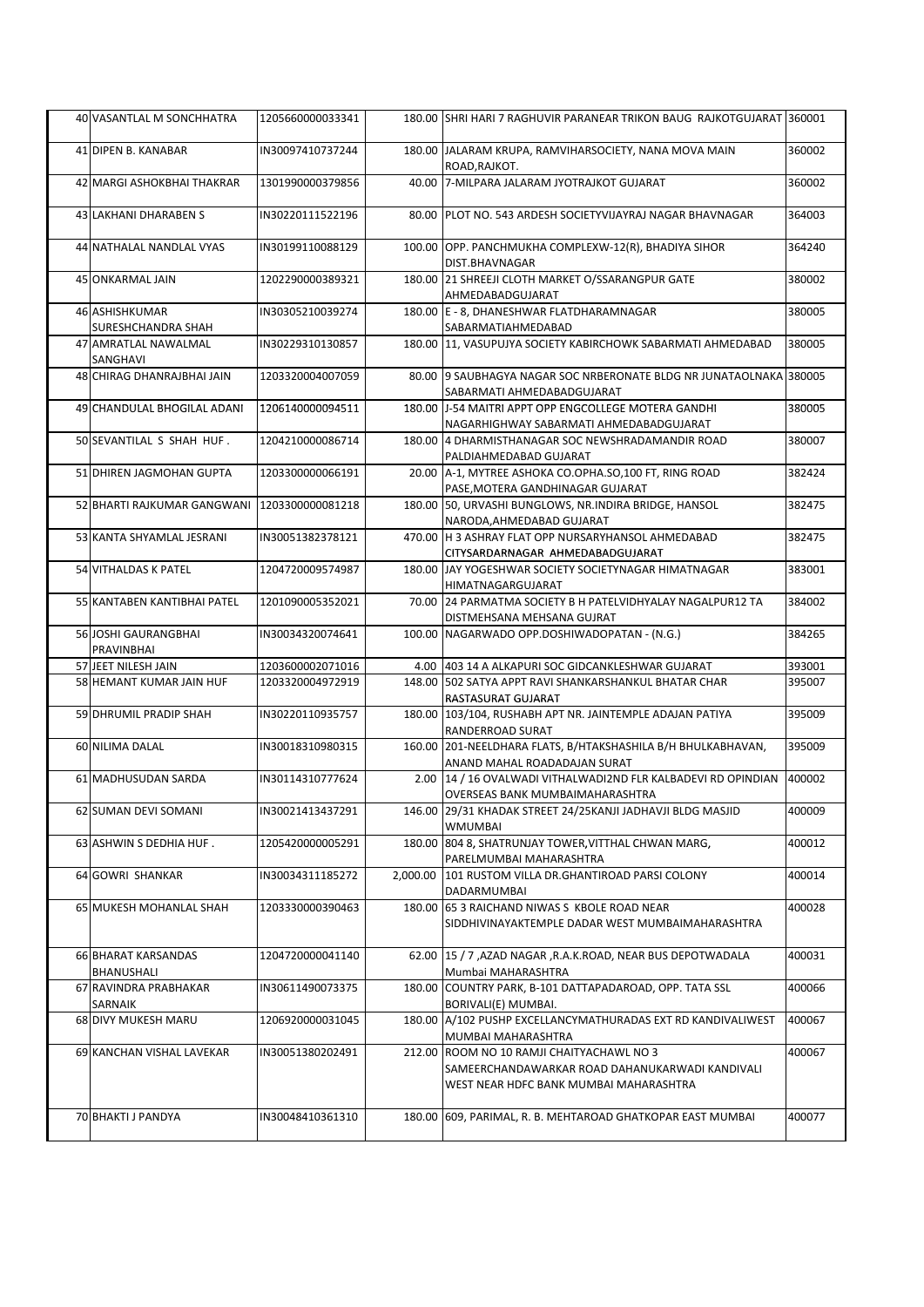| 40 VASANTLAL M SONCHHATRA            | 1205660000033341 |          | 180.00 SHRI HARI 7 RAGHUVIR PARANEAR TRIKON BAUG RAJKOTGUJARAT 360001                                                                  |        |
|--------------------------------------|------------------|----------|----------------------------------------------------------------------------------------------------------------------------------------|--------|
| 41 DIPEN B. KANABAR                  | IN30097410737244 |          | 180.00 JALARAM KRUPA, RAMVIHARSOCIETY, NANA MOVA MAIN<br>ROAD, RAJKOT.                                                                 | 360002 |
| 42 MARGI ASHOKBHAI THAKRAR           | 1301990000379856 |          | 40.00 7-MILPARA JALARAM JYOTRAJKOT GUJARAT                                                                                             | 360002 |
| <b>43 LAKHANI DHARABEN S</b>         | IN30220111522196 |          | 80.00 PLOT NO. 543 ARDESH SOCIETYVIJAYRAJ NAGAR BHAVNAGAR                                                                              | 364003 |
| 44 NATHALAL NANDLAL VYAS             | IN30199110088129 |          | 100.00 OPP. PANCHMUKHA COMPLEXW-12(R), BHADIYA SIHOR<br>DIST.BHAVNAGAR                                                                 | 364240 |
| 45 ONKARMAL JAIN                     | 1202290000389321 |          | 180.00 21 SHREEJI CLOTH MARKET O/SSARANGPUR GATE<br>AHMEDABADGUJARAT                                                                   | 380002 |
| 46 ASHISHKUMAR<br>SURESHCHANDRA SHAH | IN30305210039274 |          | 180.00 E - 8, DHANESHWAR FLATDHARAMNAGAR<br>SABARMATIAHMEDABAD                                                                         | 380005 |
| 47 AMRATLAL NAWALMAL<br>SANGHAVI     | IN30229310130857 |          | 180.00 11, VASUPUJYA SOCIETY KABIRCHOWK SABARMATI AHMEDABAD                                                                            | 380005 |
| 48 CHIRAG DHANRAJBHAI JAIN           | 1203320004007059 |          | 80.00 9 SAUBHAGYA NAGAR SOC NRBERONATE BLDG NR JUNATAOLNAKA 380005<br>SABARMATI AHMEDABADGUJARAT                                       |        |
| 49 CHANDULAL BHOGILAL ADANI          | 1206140000094511 |          | 180.00 J-54 MAITRI APPT OPP ENGCOLLEGE MOTERA GANDHI<br>NAGARHIGHWAY SABARMATI AHMEDABADGUJARAT                                        | 380005 |
| 50 SEVANTILAL S SHAH HUF.            | 1204210000086714 |          | 180.00 4 DHARMISTHANAGAR SOC NEWSHRADAMANDIR ROAD<br>PALDIAHMEDABAD GUJARAT                                                            | 380007 |
| 51 DHIREN JAGMOHAN GUPTA             | 1203300000066191 |          | 20.00 A-1, MYTREE ASHOKA CO.OPHA.SO,100 FT, RING ROAD<br>PASE, MOTERA GANDHINAGAR GUJARAT                                              | 382424 |
| 52 BHARTI RAJKUMAR GANGWANI          | 1203300000081218 |          | 180.00 50, URVASHI BUNGLOWS, NR.INDIRA BRIDGE, HANSOL<br>NARODA, AHMEDABAD GUJARAT                                                     | 382475 |
| 53 KANTA SHYAMLAL JESRANI            | IN30051382378121 |          | 470.00 H 3 ASHRAY FLAT OPP NURSARYHANSOL AHMEDABAD<br>CITYSARDARNAGAR AHMEDABADGUJARAT                                                 | 382475 |
| 54 VITHALDAS K PATEL                 | 1204720009574987 |          | 180.00 JAY YOGESHWAR SOCIETY SOCIETYNAGAR HIMATNAGAR<br>HIMATNAGARGUJARAT                                                              | 383001 |
| 55 KANTABEN KANTIBHAI PATEL          | 1201090005352021 |          | 70.00 24 PARMATMA SOCIETY B H PATELVIDHYALAY NAGALPUR12 TA<br>DISTMEHSANA MEHSANA GUJRAT                                               | 384002 |
| 56 JOSHI GAURANGBHAI<br>PRAVINBHAI   | IN30034320074641 |          | 100.00 NAGARWADO OPP.DOSHIWADOPATAN - (N.G.)                                                                                           | 384265 |
| 57 JEET NILESH JAIN                  | 1203600002071016 |          | 4.00 403 14 A ALKAPURI SOC GIDCANKLESHWAR GUJARAT                                                                                      | 393001 |
| 58 HEMANT KUMAR JAIN HUF             | 1203320004972919 |          | 148.00 502 SATYA APPT RAVI SHANKARSHANKUL BHATAR CHAR<br>RASTASURAT GUJARAT                                                            | 395007 |
| 59 DHRUMIL PRADIP SHAH               | IN30220110935757 |          | 180.00 103/104, RUSHABH APT NR. JAINTEMPLE ADAJAN PATIYA<br>RANDERROAD SURAT                                                           | 395009 |
| 60 NILIMA DALAL                      | IN30018310980315 |          | 160.00 201-NEELDHARA FLATS, B/HTAKSHASHILA B/H BHULKABHAVAN,<br>ANAND MAHAL ROADADAJAN SURAT                                           | 395009 |
| 61 MADHUSUDAN SARDA                  | IN30114310777624 |          | 2.00 14 / 16 OVALWADI VITHALWADI2ND FLR KALBADEVI RD OPINDIAN<br>OVERSEAS BANK MUMBAIMAHARASHTRA                                       | 400002 |
| 62 SUMAN DEVI SOMANI                 | IN30021413437291 |          | 146.00 29/31 KHADAK STREET 24/25KANJI JADHAVJI BLDG MASJID<br>WMUMBAI                                                                  | 400009 |
| 63 ASHWIN S DEDHIA HUF.              | 1205420000005291 |          | 180.00 804 8, SHATRUNJAY TOWER, VITTHAL CHWAN MARG,<br>PARELMUMBAI MAHARASHTRA                                                         | 400012 |
| 64 GOWRI SHANKAR                     | IN30034311185272 | 2,000.00 | 101 RUSTOM VILLA DR. GHANTIROAD PARSI COLONY<br>DADARMUMBAI                                                                            | 400014 |
| 65 MUKESH MOHANLAL SHAH              | 1203330000390463 |          | 180.00 65 3 RAICHAND NIWAS S KBOLE ROAD NEAR<br>SIDDHIVINAYAKTEMPLE DADAR WEST MUMBAIMAHARASHTRA                                       | 400028 |
| <b>66 BHARAT KARSANDAS</b>           | 1204720000041140 |          | 62.00 15 / 7 , AZAD NAGAR , R.A.K.ROAD, NEAR BUS DEPOTWADALA                                                                           | 400031 |
| <b>BHANUSHALI</b>                    |                  |          | Mumbai MAHARASHTRA                                                                                                                     |        |
| 67 RAVINDRA PRABHAKAR<br>SARNAIK     | IN30611490073375 |          | 180.00 COUNTRY PARK, B-101 DATTAPADAROAD, OPP. TATA SSL<br>BORIVALI(E) MUMBAI.                                                         | 400066 |
| 68 DIVY MUKESH MARU                  | 1206920000031045 |          | 180.00 A/102 PUSHP EXCELLANCYMATHURADAS EXT RD KANDIVALIWEST<br>MUMBAI MAHARASHTRA                                                     | 400067 |
| 69 KANCHAN VISHAL LAVEKAR            | IN30051380202491 |          | 212.00 ROOM NO 10 RAMJI CHAITYACHAWL NO 3<br>SAMEERCHANDAWARKAR ROAD DAHANUKARWADI KANDIVALI<br>WEST NEAR HDFC BANK MUMBAI MAHARASHTRA | 400067 |
| 70 BHAKTI J PANDYA                   | IN30048410361310 |          | 180.00 609, PARIMAL, R. B. MEHTAROAD GHATKOPAR EAST MUMBAI                                                                             | 400077 |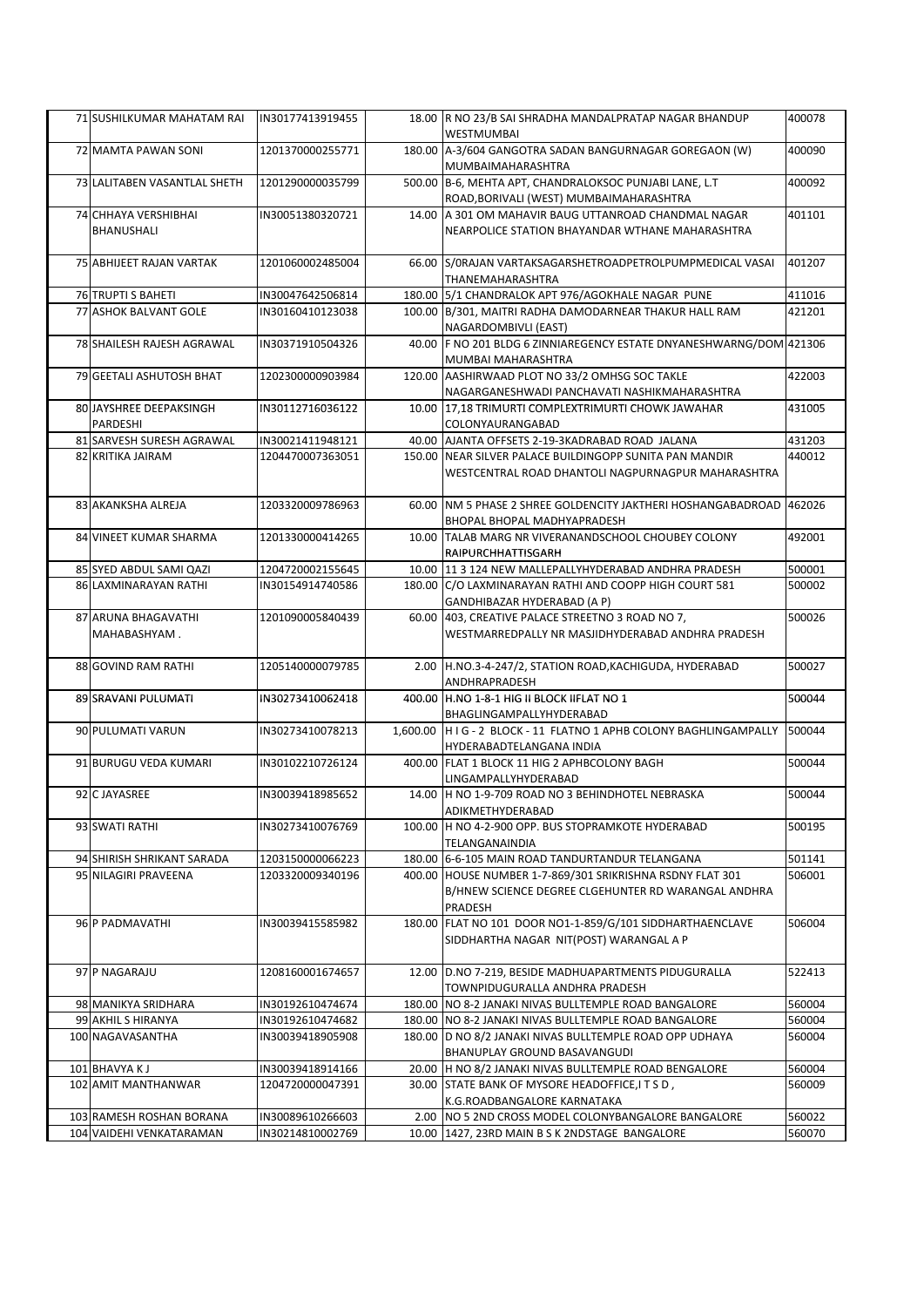| 71 SUSHILKUMAR MAHATAM RAI   | IN30177413919455 | 18.00 R NO 23/B SAI SHRADHA MANDALPRATAP NAGAR BHANDUP                                            | 400078 |
|------------------------------|------------------|---------------------------------------------------------------------------------------------------|--------|
|                              |                  | WESTMUMBAI                                                                                        |        |
| 72 MAMTA PAWAN SONI          | 1201370000255771 | 180.00 A-3/604 GANGOTRA SADAN BANGURNAGAR GOREGAON (W)                                            | 400090 |
|                              |                  | MUMBAIMAHARASHTRA                                                                                 |        |
| 73 LALITABEN VASANTLAL SHETH | 1201290000035799 | 500.00 B-6, MEHTA APT, CHANDRALOKSOC PUNJABI LANE, L.T<br>ROAD, BORIVALI (WEST) MUMBAIMAHARASHTRA | 400092 |
| 74 CHHAYA VERSHIBHAI         | IN30051380320721 | 14.00 A 301 OM MAHAVIR BAUG UTTANROAD CHANDMAL NAGAR                                              | 401101 |
| <b>BHANUSHALI</b>            |                  | NEARPOLICE STATION BHAYANDAR WTHANE MAHARASHTRA                                                   |        |
|                              |                  |                                                                                                   |        |
| 75 ABHIJEET RAJAN VARTAK     | 1201060002485004 | 66.00 S/ORAJAN VARTAKSAGARSHETROADPETROLPUMPMEDICAL VASAI                                         | 401207 |
|                              |                  | THANEMAHARASHTRA                                                                                  |        |
| 76 TRUPTI S BAHETI           | IN30047642506814 | 180.00 5/1 CHANDRALOK APT 976/AGOKHALE NAGAR PUNE                                                 | 411016 |
| <b>77 ASHOK BALVANT GOLE</b> | IN30160410123038 | 100.00 B/301, MAITRI RADHA DAMODARNEAR THAKUR HALL RAM                                            | 421201 |
|                              |                  | NAGARDOMBIVLI (EAST)                                                                              |        |
| 78 SHAILESH RAJESH AGRAWAL   | IN30371910504326 | 40.00 F NO 201 BLDG 6 ZINNIAREGENCY ESTATE DNYANESHWARNG/DOM 421306                               |        |
|                              |                  | MUMBAI MAHARASHTRA                                                                                |        |
| 79 GEETALI ASHUTOSH BHAT     | 1202300000903984 | 120.00 AASHIRWAAD PLOT NO 33/2 OMHSG SOC TAKLE                                                    | 422003 |
|                              |                  | NAGARGANESHWADI PANCHAVATI NASHIKMAHARASHTRA                                                      |        |
| 80 JAYSHREE DEEPAKSINGH      | IN30112716036122 | 10.00 17,18 TRIMURTI COMPLEXTRIMURTI CHOWK JAWAHAR                                                | 431005 |
| PARDESHI                     |                  | COLONYAURANGABAD                                                                                  |        |
| 81 SARVESH SURESH AGRAWAL    | IN30021411948121 | 40.00 AJANTA OFFSETS 2-19-3KADRABAD ROAD JALANA                                                   | 431203 |
| 82 KRITIKA JAIRAM            | 1204470007363051 | 150.00 NEAR SILVER PALACE BUILDINGOPP SUNITA PAN MANDIR                                           | 440012 |
|                              |                  | WESTCENTRAL ROAD DHANTOLI NAGPURNAGPUR MAHARASHTRA                                                |        |
|                              |                  |                                                                                                   |        |
| 83 AKANKSHA ALREJA           | 1203320009786963 | 60.00 INM 5 PHASE 2 SHREE GOLDENCITY JAKTHERI HOSHANGABADROAD                                     | 462026 |
|                              |                  | BHOPAL BHOPAL MADHYAPRADESH                                                                       |        |
| 84 VINEET KUMAR SHARMA       | 1201330000414265 | 10.00 TALAB MARG NR VIVERANANDSCHOOL CHOUBEY COLONY                                               | 492001 |
|                              |                  |                                                                                                   |        |
|                              |                  | RAIPURCHHATTISGARH                                                                                |        |
| 85 SYED ABDUL SAMI QAZI      | 1204720002155645 | 10.00 11 3 124 NEW MALLEPALLYHYDERABAD ANDHRA PRADESH                                             | 500001 |
| 86 LAXMINARAYAN RATHI        | IN30154914740586 | 180.00 C/O LAXMINARAYAN RATHI AND COOPP HIGH COURT 581                                            | 500002 |
|                              |                  | GANDHIBAZAR HYDERABAD (A P)                                                                       |        |
| 87 ARUNA BHAGAVATHI          | 1201090005840439 | 60.00 403, CREATIVE PALACE STREETNO 3 ROAD NO 7,                                                  | 500026 |
| MAHABASHYAM.                 |                  | WESTMARREDPALLY NR MASJIDHYDERABAD ANDHRA PRADESH                                                 |        |
|                              |                  |                                                                                                   |        |
| 88 GOVIND RAM RATHI          | 1205140000079785 | 2.00 H.NO.3-4-247/2, STATION ROAD, KACHIGUDA, HYDERABAD                                           | 500027 |
|                              |                  | ANDHRAPRADESH                                                                                     |        |
| 89 SRAVANI PULUMATI          | IN30273410062418 | 400.00 H.NO 1-8-1 HIG II BLOCK IIFLAT NO 1                                                        | 500044 |
|                              |                  | BHAGLINGAMPALLYHYDERABAD                                                                          |        |
| 90 PULUMATI VARUN            | IN30273410078213 | 1,600.00 H I G - 2 BLOCK - 11 FLATNO 1 APHB COLONY BAGHLINGAMPALLY                                | 500044 |
|                              |                  | HYDERABADTELANGANA INDIA                                                                          |        |
| 91 BURUGU VEDA KUMARI        | IN30102210726124 | 400.00 FLAT 1 BLOCK 11 HIG 2 APHBCOLONY BAGH                                                      | 500044 |
|                              |                  | LINGAMPALLYHYDERABAD                                                                              |        |
| 92 C JAYASREE                | IN30039418985652 | 14.00 H NO 1-9-709 ROAD NO 3 BEHINDHOTEL NEBRASKA                                                 | 500044 |
|                              |                  | ADIKMETHYDERABAD                                                                                  |        |
| 93 SWATI RATHI               | IN30273410076769 | 100.00 H NO 4-2-900 OPP. BUS STOPRAMKOTE HYDERABAD                                                | 500195 |
|                              |                  | TELANGANAINDIA                                                                                    |        |
| 94 SHIRISH SHRIKANT SARADA   | 1203150000066223 | 180.00 6-6-105 MAIN ROAD TANDURTANDUR TELANGANA                                                   | 501141 |
| 95 NILAGIRI PRAVEENA         | 1203320009340196 | 400.00 HOUSE NUMBER 1-7-869/301 SRIKRISHNA RSDNY FLAT 301                                         | 506001 |
|                              |                  | B/HNEW SCIENCE DEGREE CLGEHUNTER RD WARANGAL ANDHRA                                               |        |
|                              |                  | PRADESH                                                                                           |        |
| 96 P PADMAVATHI              | IN30039415585982 | 180.00 FLAT NO 101 DOOR NO1-1-859/G/101 SIDDHARTHAENCLAVE                                         | 506004 |
|                              |                  | SIDDHARTHA NAGAR NIT(POST) WARANGAL A P                                                           |        |
|                              |                  |                                                                                                   |        |
| 97 P NAGARAJU                | 1208160001674657 | 12.00 D.NO 7-219, BESIDE MADHUAPARTMENTS PIDUGURALLA                                              | 522413 |
|                              |                  | TOWNPIDUGURALLA ANDHRA PRADESH                                                                    |        |
| 98 MANIKYA SRIDHARA          | IN30192610474674 | 180.00 INO 8-2 JANAKI NIVAS BULLTEMPLE ROAD BANGALORE                                             | 560004 |
| 99 AKHIL S HIRANYA           | IN30192610474682 | 180.00   NO 8-2 JANAKI NIVAS BULLTEMPLE ROAD BANGALORE                                            | 560004 |
| 100 NAGAVASANTHA             | IN30039418905908 | 180.00 D NO 8/2 JANAKI NIVAS BULLTEMPLE ROAD OPP UDHAYA                                           | 560004 |
|                              |                  | BHANUPLAY GROUND BASAVANGUDI                                                                      |        |
| 101 BHAVYA KJ                | IN30039418914166 | 20.00 H NO 8/2 JANAKI NIVAS BULLTEMPLE ROAD BENGALORE                                             | 560004 |
| 102 AMIT MANTHANWAR          | 1204720000047391 | 30.00 STATE BANK OF MYSORE HEADOFFICE, IT S D,                                                    | 560009 |
|                              |                  | K.G.ROADBANGALORE KARNATAKA                                                                       |        |
| 103 RAMESH ROSHAN BORANA     | IN30089610266603 | 2.00   NO 5 2ND CROSS MODEL COLONYBANGALORE BANGALORE                                             | 560022 |
| 104 VAIDEHI VENKATARAMAN     | IN30214810002769 | 10.00 1427, 23RD MAIN B S K 2NDSTAGE BANGALORE                                                    | 560070 |